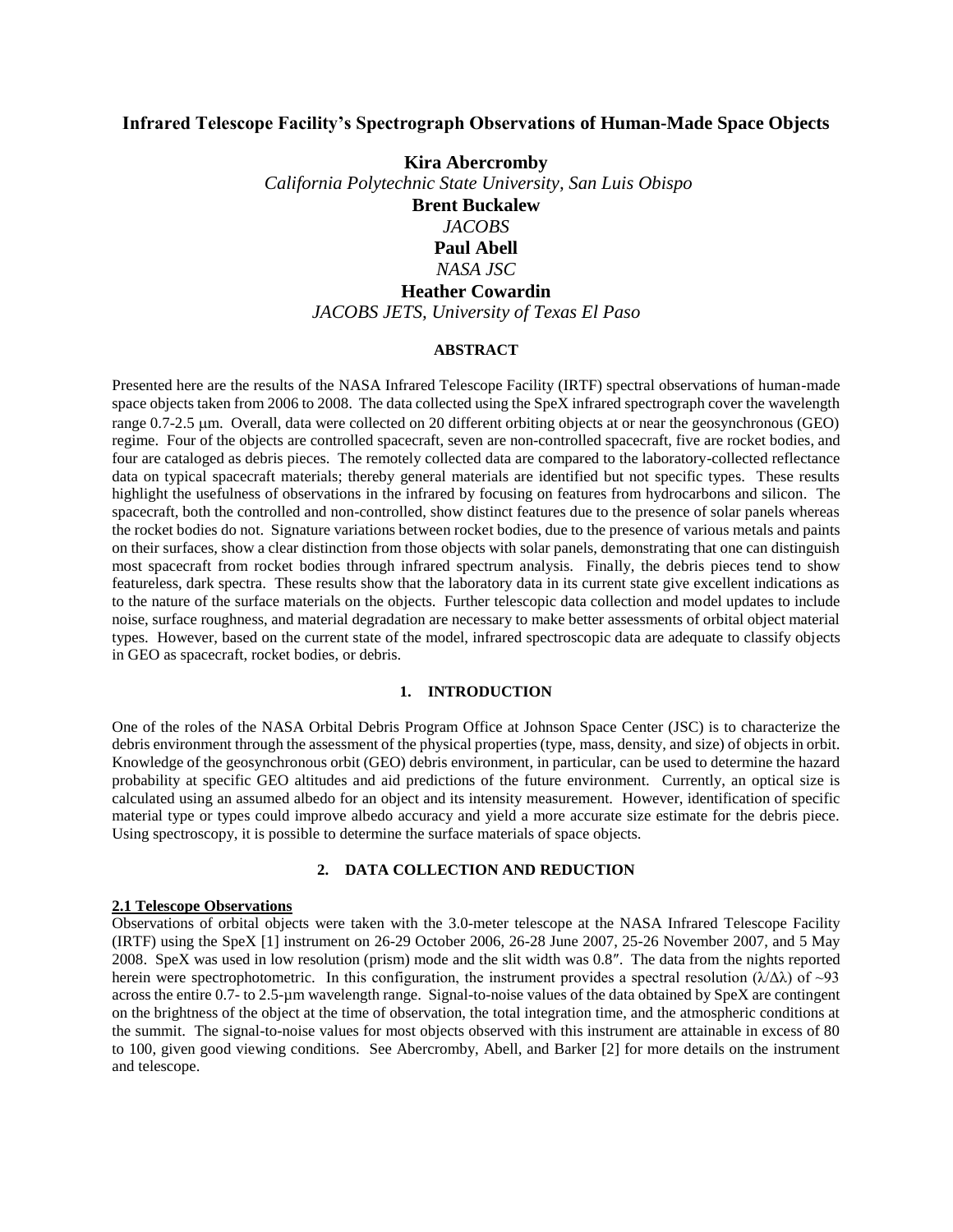# **Infrared Telescope Facility's Spectrograph Observations of Human-Made Space Objects**

**Kira Abercromby** *California Polytechnic State University, San Luis Obispo* **Brent Buckalew** *JACOBS* **Paul Abell**  *NASA JSC* **Heather Cowardin**  *JACOBS JETS, University of Texas El Paso*

## **ABSTRACT**

Presented here are the results of the NASA Infrared Telescope Facility (IRTF) spectral observations of human-made space objects taken from 2006 to 2008. The data collected using the SpeX infrared spectrograph cover the wavelength range 0.7-2.5 m. Overall, data were collected on 20 different orbiting objects at or near the geosynchronous (GEO) regime. Four of the objects are controlled spacecraft, seven are non-controlled spacecraft, five are rocket bodies, and four are cataloged as debris pieces. The remotely collected data are compared to the laboratory-collected reflectance data on typical spacecraft materials; thereby general materials are identified but not specific types. These results highlight the usefulness of observations in the infrared by focusing on features from hydrocarbons and silicon. The spacecraft, both the controlled and non-controlled, show distinct features due to the presence of solar panels whereas the rocket bodies do not. Signature variations between rocket bodies, due to the presence of various metals and paints on their surfaces, show a clear distinction from those objects with solar panels, demonstrating that one can distinguish most spacecraft from rocket bodies through infrared spectrum analysis. Finally, the debris pieces tend to show featureless, dark spectra. These results show that the laboratory data in its current state give excellent indications as to the nature of the surface materials on the objects. Further telescopic data collection and model updates to include noise, surface roughness, and material degradation are necessary to make better assessments of orbital object material types. However, based on the current state of the model, infrared spectroscopic data are adequate to classify objects in GEO as spacecraft, rocket bodies, or debris.

## **1. INTRODUCTION**

One of the roles of the NASA Orbital Debris Program Office at Johnson Space Center (JSC) is to characterize the debris environment through the assessment of the physical properties (type, mass, density, and size) of objects in orbit. Knowledge of the geosynchronous orbit (GEO) debris environment, in particular, can be used to determine the hazard probability at specific GEO altitudes and aid predictions of the future environment. Currently, an optical size is calculated using an assumed albedo for an object and its intensity measurement. However, identification of specific material type or types could improve albedo accuracy and yield a more accurate size estimate for the debris piece. Using spectroscopy, it is possible to determine the surface materials of space objects.

#### **2. DATA COLLECTION AND REDUCTION**

#### **2.1 Telescope Observations**

Observations of orbital objects were taken with the 3.0-meter telescope at the NASA Infrared Telescope Facility (IRTF) using the SpeX [1] instrument on 26-29 October 2006, 26-28 June 2007, 25-26 November 2007, and 5 May 2008. SpeX was used in low resolution (prism) mode and the slit width was 0.8″. The data from the nights reported herein were spectrophotometric. In this configuration, the instrument provides a spectral resolution ( $\lambda/\Delta\lambda$ ) of ~93 across the entire 0.7- to 2.5-µm wavelength range. Signal-to-noise values of the data obtained by SpeX are contingent on the brightness of the object at the time of observation, the total integration time, and the atmospheric conditions at the summit. The signal-to-noise values for most objects observed with this instrument are attainable in excess of 80 to 100, given good viewing conditions. See Abercromby, Abell, and Barker [2] for more details on the instrument and telescope.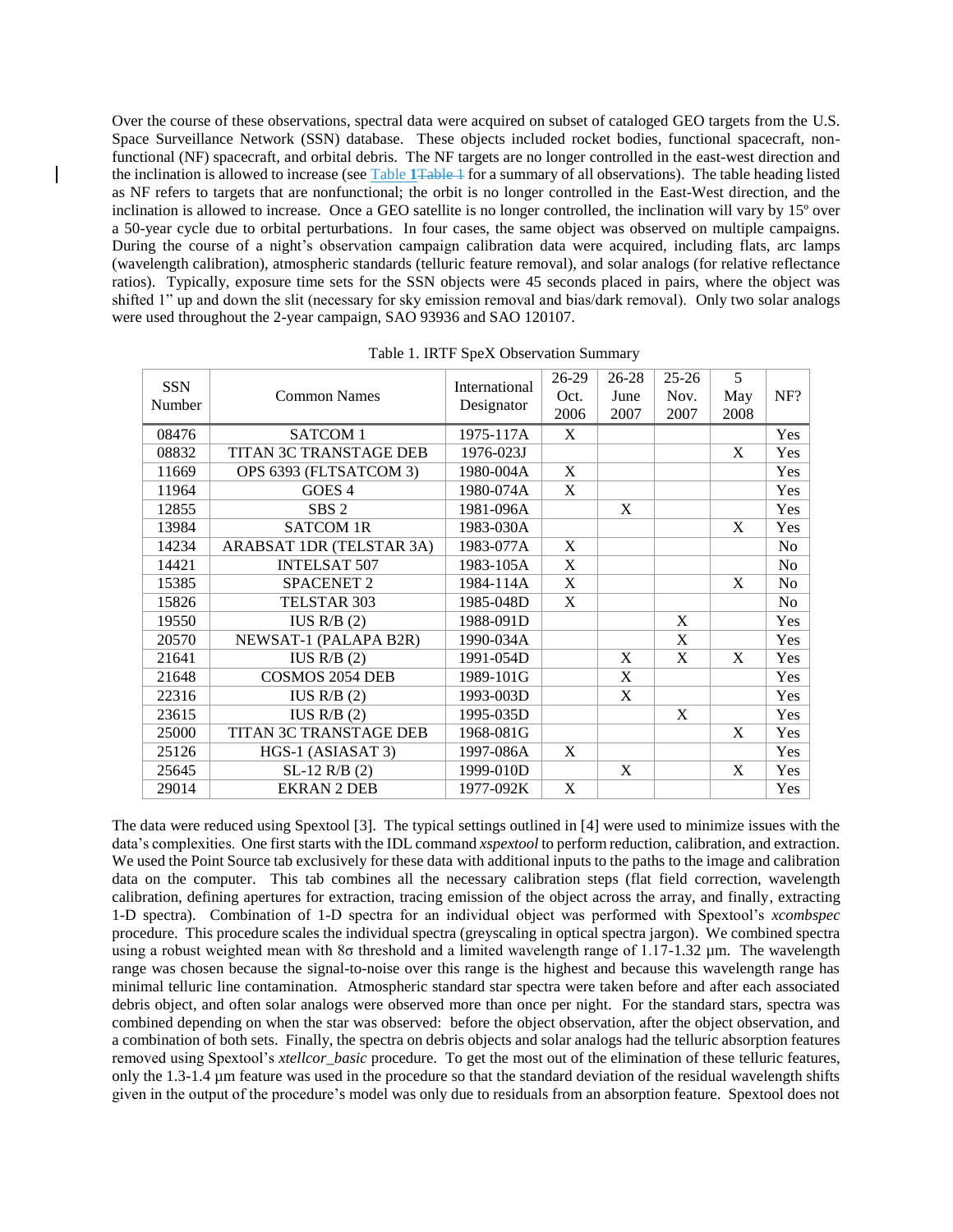Over the course of these observations, spectral data were acquired on subset of cataloged GEO targets from the U.S. Space Surveillance Network (SSN) database. These objects included rocket bodies, functional spacecraft, nonfunctional (NF) spacecraft, and orbital debris. The NF targets are no longer controlled in the east-west direction and the inclination is allowed to increase (see Table **1**[Table 1](#page-1-0) for a summary of all observations). The table heading listed as NF refers to targets that are nonfunctional; the orbit is no longer controlled in the East-West direction, and the inclination is allowed to increase. Once a GEO satellite is no longer controlled, the inclination will vary by 15º over a 50-year cycle due to orbital perturbations. In four cases, the same object was observed on multiple campaigns. During the course of a night's observation campaign calibration data were acquired, including flats, arc lamps (wavelength calibration), atmospheric standards (telluric feature removal), and solar analogs (for relative reflectance ratios). Typically, exposure time sets for the SSN objects were 45 seconds placed in pairs, where the object was shifted 1" up and down the slit (necessary for sky emission removal and bias/dark removal). Only two solar analogs were used throughout the 2-year campaign, SAO 93936 and SAO 120107.

<span id="page-1-0"></span>

| <b>SSN</b><br>Number | <b>Common Names</b>      | International<br>Designator | 26-29<br>Oct.<br>2006 | 26-28<br>June<br>2007 | $25 - 26$<br>Nov.<br>2007 | 5<br>May<br>2008 | NF?            |
|----------------------|--------------------------|-----------------------------|-----------------------|-----------------------|---------------------------|------------------|----------------|
| 08476                | SATCOM 1                 | 1975-117A                   | X                     |                       |                           |                  | Yes            |
| 08832                | TITAN 3C TRANSTAGE DEB   | 1976-023J                   |                       |                       |                           | X                | Yes            |
| 11669                | OPS 6393 (FLTSATCOM 3)   | 1980-004A                   | X                     |                       |                           |                  | <b>Yes</b>     |
| 11964                | GOES <sub>4</sub>        | 1980-074A                   | X                     |                       |                           |                  | Yes            |
| 12855                | SBS <sub>2</sub>         | 1981-096A                   |                       | X                     |                           |                  | Yes            |
| 13984                | <b>SATCOM 1R</b>         | 1983-030A                   |                       |                       |                           | X                | Yes            |
| 14234                | ARABSAT 1DR (TELSTAR 3A) | 1983-077A                   | X                     |                       |                           |                  | No             |
| 14421                | <b>INTELSAT 507</b>      | 1983-105A                   | X                     |                       |                           |                  | N <sub>o</sub> |
| 15385                | <b>SPACENET 2</b>        | 1984-114A                   | X                     |                       |                           | X                | No             |
| 15826                | TELSTAR 303              | 1985-048D                   | X                     |                       |                           |                  | No             |
| 19550                | IUS R/B $(2)$            | 1988-091D                   |                       |                       | X                         |                  | Yes            |
| 20570                | NEWSAT-1 (PALAPA B2R)    | 1990-034A                   |                       |                       | X                         |                  | Yes            |
| 21641                | IUS R/B $(2)$            | 1991-054D                   |                       | X                     | X                         | X                | Yes            |
| 21648                | <b>COSMOS 2054 DEB</b>   | 1989-101G                   |                       | X                     |                           |                  | Yes            |
| 22316                | IUS R/B $(2)$            | 1993-003D                   |                       | X                     |                           |                  | Yes            |
| 23615                | IUS R/B $(2)$            | 1995-035D                   |                       |                       | X                         |                  | Yes            |
| 25000                | TITAN 3C TRANSTAGE DEB   | 1968-081G                   |                       |                       |                           | X                | <b>Yes</b>     |
| 25126                | HGS-1 (ASIASAT 3)        | 1997-086A                   | X                     |                       |                           |                  | <b>Yes</b>     |
| 25645                | $SL-12 R/B (2)$          | 1999-010D                   |                       | X                     |                           | X                | <b>Yes</b>     |
| 29014                | <b>EKRAN 2 DEB</b>       | 1977-092K                   | X                     |                       |                           |                  | Yes            |

Table 1. IRTF SpeX Observation Summary

The data were reduced using Spextool [3]. The typical settings outlined in [4] were used to minimize issues with the data's complexities. One first starts with the IDL command *xspextool* to perform reduction, calibration, and extraction. We used the Point Source tab exclusively for these data with additional inputs to the paths to the image and calibration data on the computer. This tab combines all the necessary calibration steps (flat field correction, wavelength calibration, defining apertures for extraction, tracing emission of the object across the array, and finally, extracting 1-D spectra). Combination of 1-D spectra for an individual object was performed with Spextool's *xcombspec* procedure. This procedure scales the individual spectra (greyscaling in optical spectra jargon). We combined spectra using a robust weighted mean with 8σ threshold and a limited wavelength range of 1.17-1.32 μm. The wavelength range was chosen because the signal-to-noise over this range is the highest and because this wavelength range has minimal telluric line contamination. Atmospheric standard star spectra were taken before and after each associated debris object, and often solar analogs were observed more than once per night. For the standard stars, spectra was combined depending on when the star was observed: before the object observation, after the object observation, and a combination of both sets. Finally, the spectra on debris objects and solar analogs had the telluric absorption features removed using Spextool's *xtellcor\_basic* procedure. To get the most out of the elimination of these telluric features, only the 1.3-1.4 µm feature was used in the procedure so that the standard deviation of the residual wavelength shifts given in the output of the procedure's model was only due to residuals from an absorption feature. Spextool does not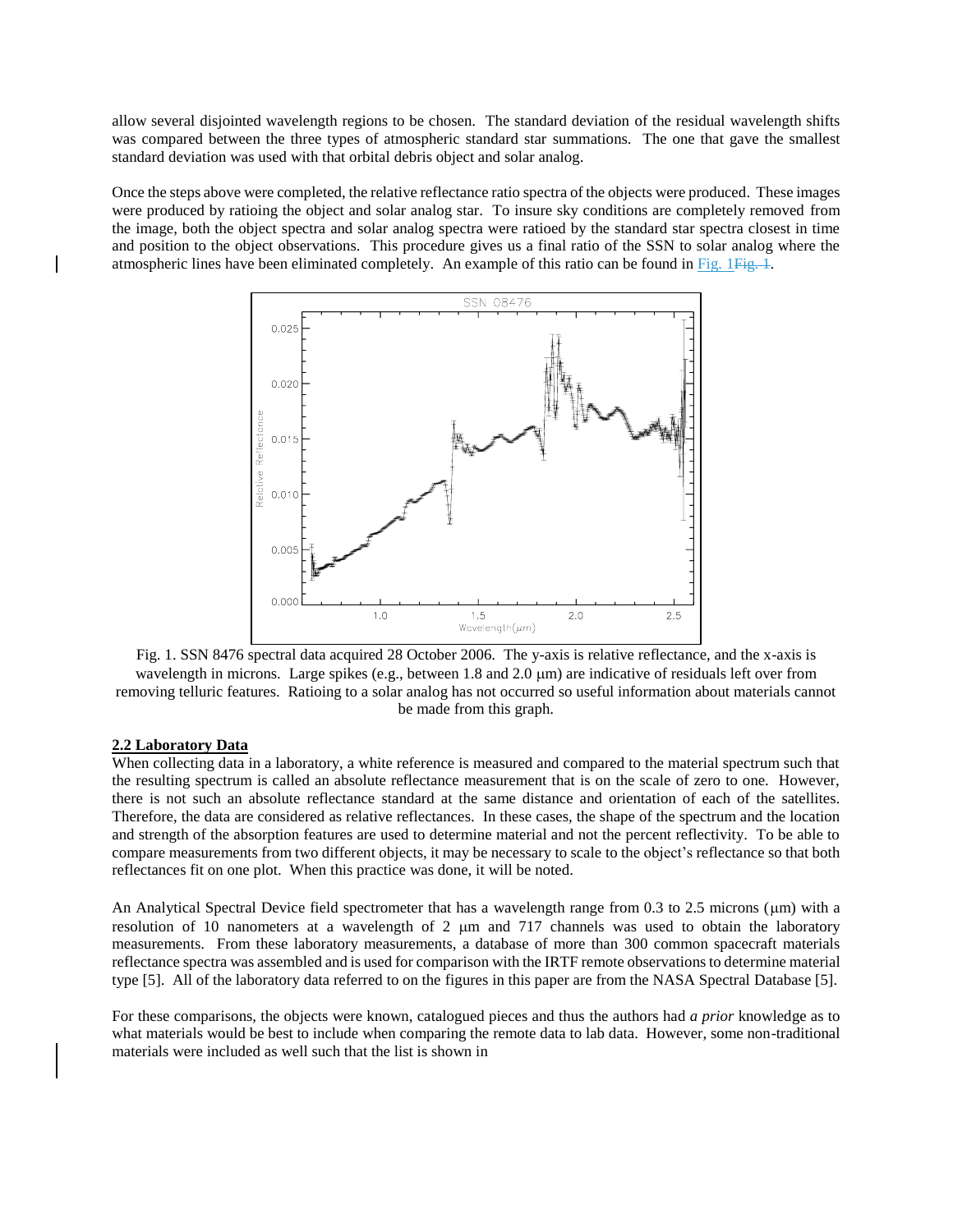allow several disjointed wavelength regions to be chosen. The standard deviation of the residual wavelength shifts was compared between the three types of atmospheric standard star summations. The one that gave the smallest standard deviation was used with that orbital debris object and solar analog.

Once the steps above were completed, the relative reflectance ratio spectra of the objects were produced. These images were produced by ratioing the object and solar analog star. To insure sky conditions are completely removed from the image, both the object spectra and solar analog spectra were ratioed by the standard star spectra closest in time and position to the object observations. This procedure gives us a final ratio of the SSN to solar analog where the atmospheric lines have been eliminated completely. An example of this ratio can be found in Fig. 1Fig. 1.





## **2.2 Laboratory Data**

When collecting data in a laboratory, a white reference is measured and compared to the material spectrum such that the resulting spectrum is called an absolute reflectance measurement that is on the scale of zero to one. However, there is not such an absolute reflectance standard at the same distance and orientation of each of the satellites. Therefore, the data are considered as relative reflectances. In these cases, the shape of the spectrum and the location and strength of the absorption features are used to determine material and not the percent reflectivity. To be able to compare measurements from two different objects, it may be necessary to scale to the object's reflectance so that both reflectances fit on one plot. When this practice was done, it will be noted.

An Analytical Spectral Device field spectrometer that has a wavelength range from 0.3 to 2.5 microns ( $\mu$ m) with a resolution of 10 nanometers at a wavelength of 2 um and 717 channels was used to obtain the laboratory measurements. From these laboratory measurements, a database of more than 300 common spacecraft materials reflectance spectra was assembled and is used for comparison with the IRTF remote observations to determine material type [5]. All of the laboratory data referred to on the figures in this paper are from the NASA Spectral Database [5].

For these comparisons, the objects were known, catalogued pieces and thus the authors had *a prior* knowledge as to what materials would be best to include when comparing the remote data to lab data. However, some non-traditional materials were included as well such that the list is shown in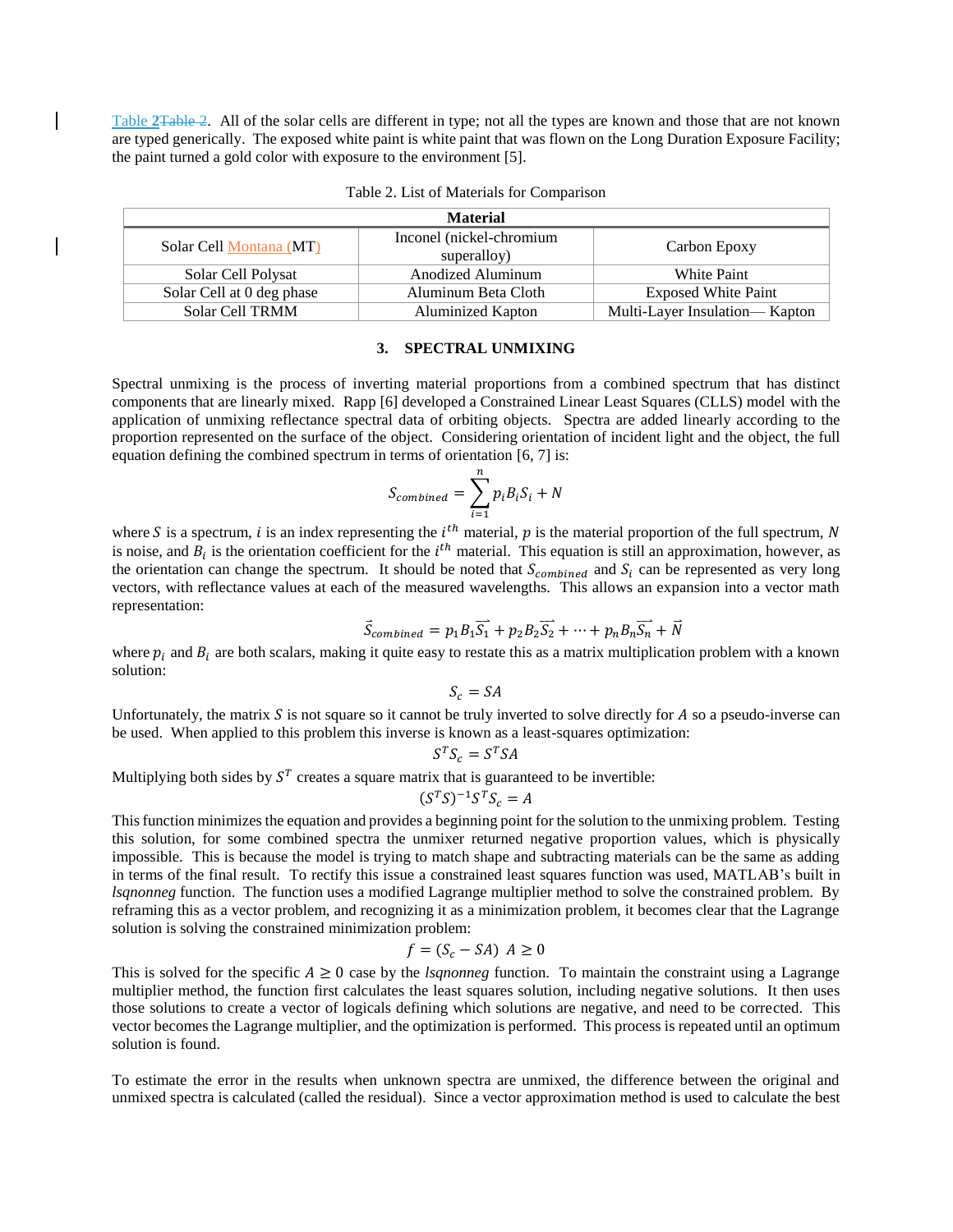Table **2**[Table 2.](#page-3-0) All of the solar cells are different in type; not all the types are known and those that are not known are typed generically. The exposed white paint is white paint that was flown on the Long Duration Exposure Facility; the paint turned a gold color with exposure to the environment [5].

| <b>Material</b>           |                                         |                                |  |  |
|---------------------------|-----------------------------------------|--------------------------------|--|--|
| Solar Cell Montana (MT)   | Inconel (nickel-chromium<br>superalloy) | Carbon Epoxy                   |  |  |
| Solar Cell Polysat        | Anodized Aluminum                       | White Paint                    |  |  |
| Solar Cell at 0 deg phase | Aluminum Beta Cloth                     | <b>Exposed White Paint</b>     |  |  |
| <b>Solar Cell TRMM</b>    | <b>Aluminized Kapton</b>                | Multi-Layer Insulation— Kapton |  |  |

<span id="page-3-0"></span>Table 2. List of Materials for Comparison

#### **3. SPECTRAL UNMIXING**

Spectral unmixing is the process of inverting material proportions from a combined spectrum that has distinct components that are linearly mixed. Rapp [6] developed a Constrained Linear Least Squares (CLLS) model with the application of unmixing reflectance spectral data of orbiting objects. Spectra are added linearly according to the proportion represented on the surface of the object. Considering orientation of incident light and the object, the full equation defining the combined spectrum in terms of orientation [6, 7] is:

$$
S_{combined} = \sum_{i=1}^{n} p_i B_i S_i + N
$$

where S is a spectrum, *i* is an index representing the  $i^{th}$  material, p is the material proportion of the full spectrum, N is noise, and  $B_i$  is the orientation coefficient for the  $i<sup>th</sup>$  material. This equation is still an approximation, however, as the orientation can change the spectrum. It should be noted that  $S_{combined}$  and  $S_i$  can be represented as very long vectors, with reflectance values at each of the measured wavelengths. This allows an expansion into a vector math representation:

$$
\vec{S}_{combined} = p_1 B_1 \overrightarrow{S_1} + p_2 B_2 \overrightarrow{S_2} + \dots + p_n B_n \overrightarrow{S_n} + \overrightarrow{N}
$$

where  $p_i$  and  $B_i$  are both scalars, making it quite easy to restate this as a matrix multiplication problem with a known solution:

 $S_c = SA$ 

Unfortunately, the matrix  $S$  is not square so it cannot be truly inverted to solve directly for  $A$  so a pseudo-inverse can be used. When applied to this problem this inverse is known as a least-squares optimization:

$$
S^T S_c = S^T S A
$$

Multiplying both sides by  $S<sup>T</sup>$  creates a square matrix that is guaranteed to be invertible:

$$
(S^T S)^{-1} S^T S_c = A
$$

This function minimizes the equation and provides a beginning point for the solution to the unmixing problem. Testing this solution, for some combined spectra the unmixer returned negative proportion values, which is physically impossible. This is because the model is trying to match shape and subtracting materials can be the same as adding in terms of the final result. To rectify this issue a constrained least squares function was used, MATLAB's built in *lsqnonneg* function. The function uses a modified Lagrange multiplier method to solve the constrained problem. By reframing this as a vector problem, and recognizing it as a minimization problem, it becomes clear that the Lagrange solution is solving the constrained minimization problem:

$$
f = (S_c - SA) A \ge 0
$$

This is solved for the specific  $A \ge 0$  case by the *lsgnonneg* function. To maintain the constraint using a Lagrange multiplier method, the function first calculates the least squares solution, including negative solutions. It then uses those solutions to create a vector of logicals defining which solutions are negative, and need to be corrected. This vector becomes the Lagrange multiplier, and the optimization is performed. This process is repeated until an optimum solution is found.

To estimate the error in the results when unknown spectra are unmixed, the difference between the original and unmixed spectra is calculated (called the residual). Since a vector approximation method is used to calculate the best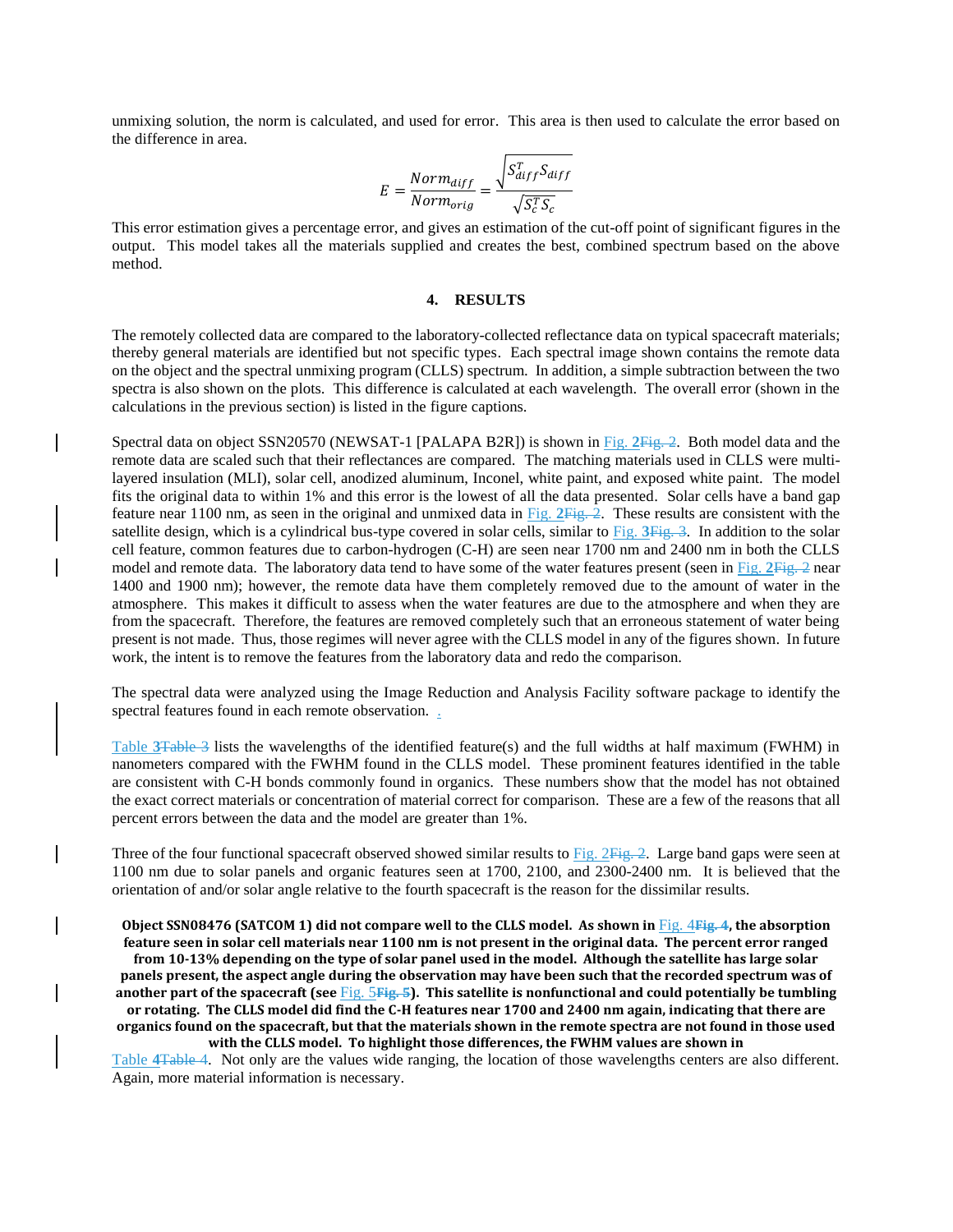unmixing solution, the norm is calculated, and used for error. This area is then used to calculate the error based on the difference in area.

$$
E = \frac{Norm_{diff}}{Norm_{orig}} = \frac{\sqrt{S_{diff}^T S_{diff}}}{\sqrt{S_c^T S_c}}
$$

This error estimation gives a percentage error, and gives an estimation of the cut-off point of significant figures in the output. This model takes all the materials supplied and creates the best, combined spectrum based on the above method.

## **4. RESULTS**

The remotely collected data are compared to the laboratory-collected reflectance data on typical spacecraft materials; thereby general materials are identified but not specific types. Each spectral image shown contains the remote data on the object and the spectral unmixing program (CLLS) spectrum. In addition, a simple subtraction between the two spectra is also shown on the plots. This difference is calculated at each wavelength. The overall error (shown in the calculations in the previous section) is listed in the figure captions.

Spectral data on object SSN20570 (NEWSAT-1 [PALAPA B2R]) is shown in Fig. **2**Fig. 2. Both model data and the remote data are scaled such that their reflectances are compared. The matching materials used in CLLS were multilayered insulation (MLI), solar cell, anodized aluminum, Inconel, white paint, and exposed white paint. The model fits the original data to within 1% and this error is the lowest of all the data presented. Solar cells have a band gap feature near 1100 nm, as seen in the original and unmixed data in Fig. **2**Fig. 2. These results are consistent with the satellite design, which is a cylindrical bus-type covered in solar cells, similar to [Fig.](#page-5-0) **3**Fig. 3. In addition to the solar cell feature, common features due to carbon-hydrogen (C-H) are seen near 1700 nm and 2400 nm in both the CLLS model and remote data. The laboratory data tend to have some of the water features present (seen in Fig. **2**Fig. 2 near 1400 and 1900 nm); however, the remote data have them completely removed due to the amount of water in the atmosphere. This makes it difficult to assess when the water features are due to the atmosphere and when they are from the spacecraft. Therefore, the features are removed completely such that an erroneous statement of water being present is not made. Thus, those regimes will never agree with the CLLS model in any of the figures shown. In future work, the intent is to remove the features from the laboratory data and redo the comparison.

The spectral data were analyzed using the Image Reduction and Analysis Facility software package to identify the spectral features found in each remote observation. .

Table **3**Table 3 lists the wavelengths of the identified feature(s) and the full widths at half maximum (FWHM) in nanometers compared with the FWHM found in the CLLS model. These prominent features identified in the table are consistent with C-H bonds commonly found in organics. These numbers show that the model has not obtained the exact correct materials or concentration of material correct for comparison. These are a few of the reasons that all percent errors between the data and the model are greater than 1%.

Three of the four functional spacecraft observed showed similar results to  $Fig. 2Fig. 2$ . Large band gaps were seen at 1100 nm due to solar panels and organic features seen at 1700, 2100, and 2300-2400 nm. It is believed that the orientation of and/or solar angle relative to the fourth spacecraft is the reason for the dissimilar results.

## **Object SSN08476 (SATCOM 1) did not compare well to the CLLS model. As shown in** [Fig.](#page-6-0) 4**Fig. 4, the absorption feature seen in solar cell materials near 1100 nm is not present in the original data. The percent error ranged**

**from 10-13% depending on the type of solar panel used in the model. Although the satellite has large solar panels present, the aspect angle during the observation may have been such that the recorded spectrum was of another part of the spacecraft (see** [Fig.](#page-6-1) 5**Fig. 5). This satellite is nonfunctional and could potentially be tumbling or rotating. The CLLS model did find the C-H features near 1700 and 2400 nm again, indicating that there are organics found on the spacecraft, but that the materials shown in the remote spectra are not found in those used** 

**with the CLLS model. To highlight those differences, the FWHM values are shown in** 

Table **4**Table 4. Not only are the values wide ranging, the location of those wavelengths centers are also different. Again, more material information is necessary.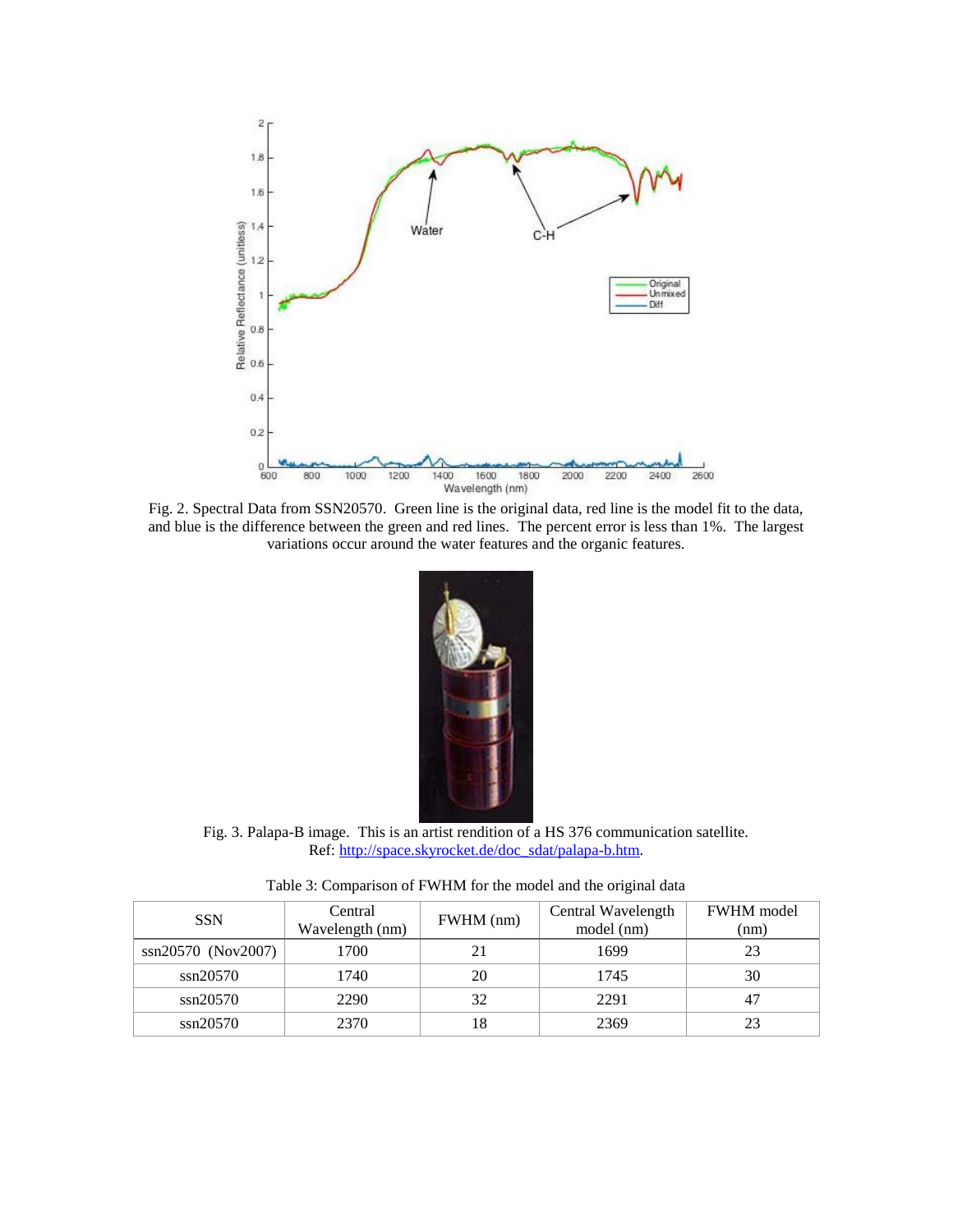

Fig. 2. Spectral Data from SSN20570. Green line is the original data, red line is the model fit to the data, and blue is the difference between the green and red lines. The percent error is less than 1%. The largest variations occur around the water features and the organic features.



Fig. 3. Palapa-B image. This is an artist rendition of a HS 376 communication satellite. Ref: [http://space.skyrocket.de/doc\\_sdat/palapa-b.htm.](http://space.skyrocket.de/doc_sdat/palapa-b.htm)

Table 3: Comparison of FWHM for the model and the original data

<span id="page-5-0"></span>

| <b>SSN</b>         | Central<br>Wavelength (nm) | FWHM (nm) | Central Wavelength<br>model (nm) | <b>FWHM</b> model<br>(nm) |  |
|--------------------|----------------------------|-----------|----------------------------------|---------------------------|--|
| ssn20570 (Nov2007) | 1700                       |           | 1699                             | 23                        |  |
| ssn20570           | 1740                       | 20        | 1745                             | 30                        |  |
| ssn20570           | 2290                       | 32        | 2291                             |                           |  |
| $\sin 20570$       | 2370                       | 18        | 2369                             | 23                        |  |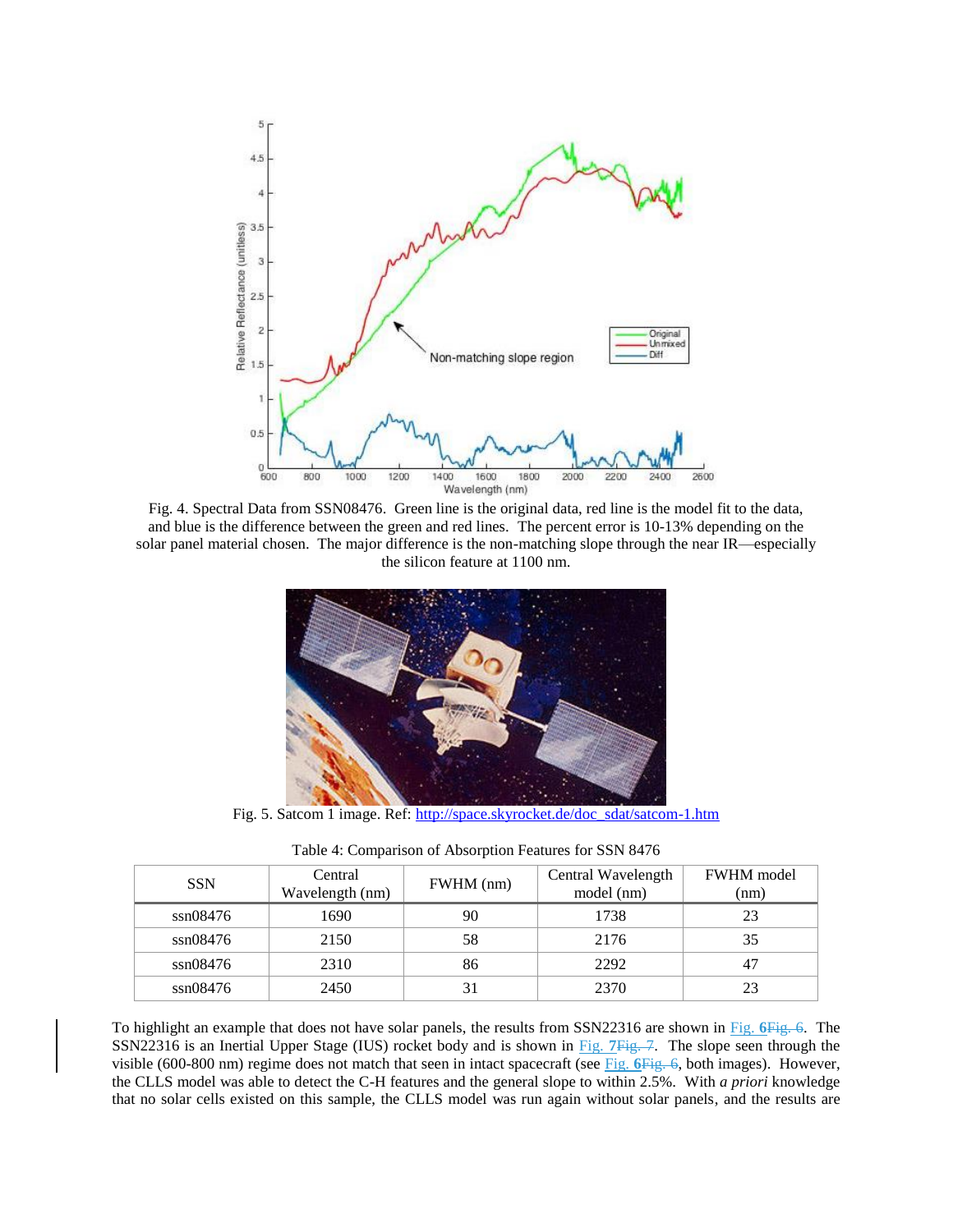

<span id="page-6-0"></span>Fig. 4. Spectral Data from SSN08476. Green line is the original data, red line is the model fit to the data, and blue is the difference between the green and red lines. The percent error is 10-13% depending on the solar panel material chosen. The major difference is the non-matching slope through the near IR—especially the silicon feature at 1100 nm.



Fig. 5. Satcom 1 image. Ref: [http://space.skyrocket.de/doc\\_sdat/satcom-1.htm](http://space.skyrocket.de/doc_sdat/satcom-1.htm)

<span id="page-6-1"></span>

| <b>SSN</b> | Central<br>Wavelength (nm) | FWHM (nm) | Central Wavelength<br>model (nm) | <b>FWHM</b> model<br>(nm) |
|------------|----------------------------|-----------|----------------------------------|---------------------------|
| ssn08476   | 1690                       | 90        | 1738                             |                           |
| ssn08476   | 2150                       | 58        | 2176                             | 35                        |
| ssn08476   | 2310                       | 86        | 2292                             |                           |
| ssn08476   | 2450                       | 31        | 2370                             |                           |

Table 4: Comparison of Absorption Features for SSN 8476

To highlight an example that does not have solar panels, the results from SSN22316 are shown in [Fig.](#page-7-0) **6**Fig. 6. The SSN22316 is an Inertial Upper Stage (IUS) rocket body and is shown in [Fig.](#page-7-1) **7**Fig. 7. The slope seen through the visible (600-800 nm) regime does not match that seen in intact spacecraft (see Fig. **6**Fig. 6, both images). However, the CLLS model was able to detect the C-H features and the general slope to within 2.5%. With *a priori* knowledge that no solar cells existed on this sample, the CLLS model was run again without solar panels, and the results are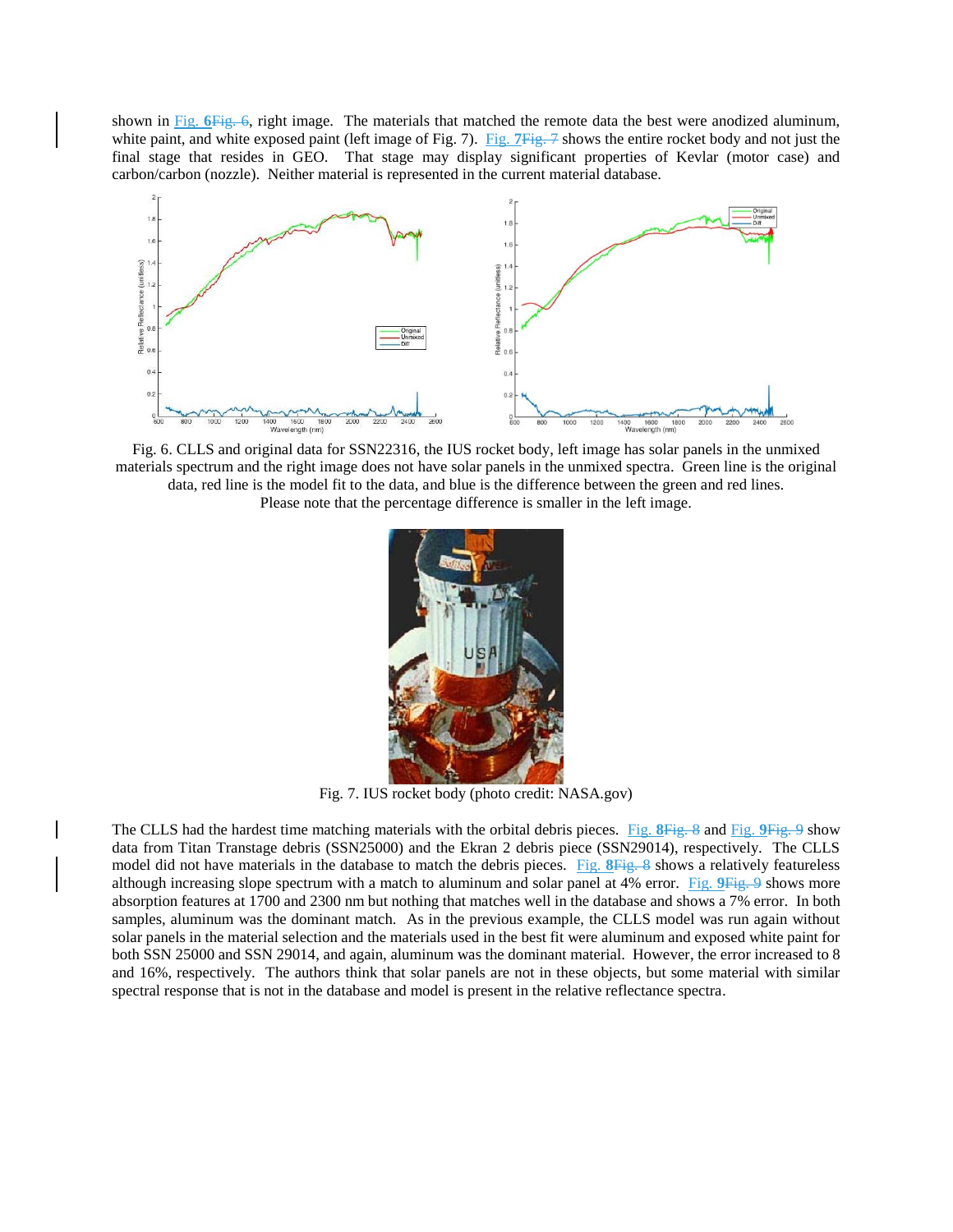shown in Fig. **6**Fig. 6, right image. The materials that matched the remote data the best were anodized aluminum, white paint, and white exposed paint (left image of [Fig.](#page-7-1) 7). Fig. 7*Fig.* 7 shows the entire rocket body and not just the final stage that resides in GEO. That stage may display significant properties of Kevlar (motor case) and carbon/carbon (nozzle). Neither material is represented in the current material database.



<span id="page-7-0"></span>Fig. 6. CLLS and original data for SSN22316, the IUS rocket body, left image has solar panels in the unmixed materials spectrum and the right image does not have solar panels in the unmixed spectra. Green line is the original data, red line is the model fit to the data, and blue is the difference between the green and red lines. Please note that the percentage difference is smaller in the left image.



Fig. 7. IUS rocket body (photo credit: NASA.gov)

<span id="page-7-1"></span>The CLLS had the hardest time matching materials with the orbital debris pieces. [Fig.](#page-8-0) **8**Fig. 8 and [Fig.](#page-8-1) **9**Fig. 9 show data from Titan Transtage debris (SSN25000) and the Ekran 2 debris piece (SSN29014), respectively. The CLLS model did not have materials in the database to match the debris pieces. [Fig.](#page-8-0) **8**Fig. 8 shows a relatively featureless although increasing slope spectrum with a match to aluminum and solar panel at 4% error. [Fig.](#page-8-1) **9**Fig. 9 shows more absorption features at 1700 and 2300 nm but nothing that matches well in the database and shows a 7% error. In both samples, aluminum was the dominant match. As in the previous example, the CLLS model was run again without solar panels in the material selection and the materials used in the best fit were aluminum and exposed white paint for both SSN 25000 and SSN 29014, and again, aluminum was the dominant material. However, the error increased to 8 and 16%, respectively. The authors think that solar panels are not in these objects, but some material with similar spectral response that is not in the database and model is present in the relative reflectance spectra.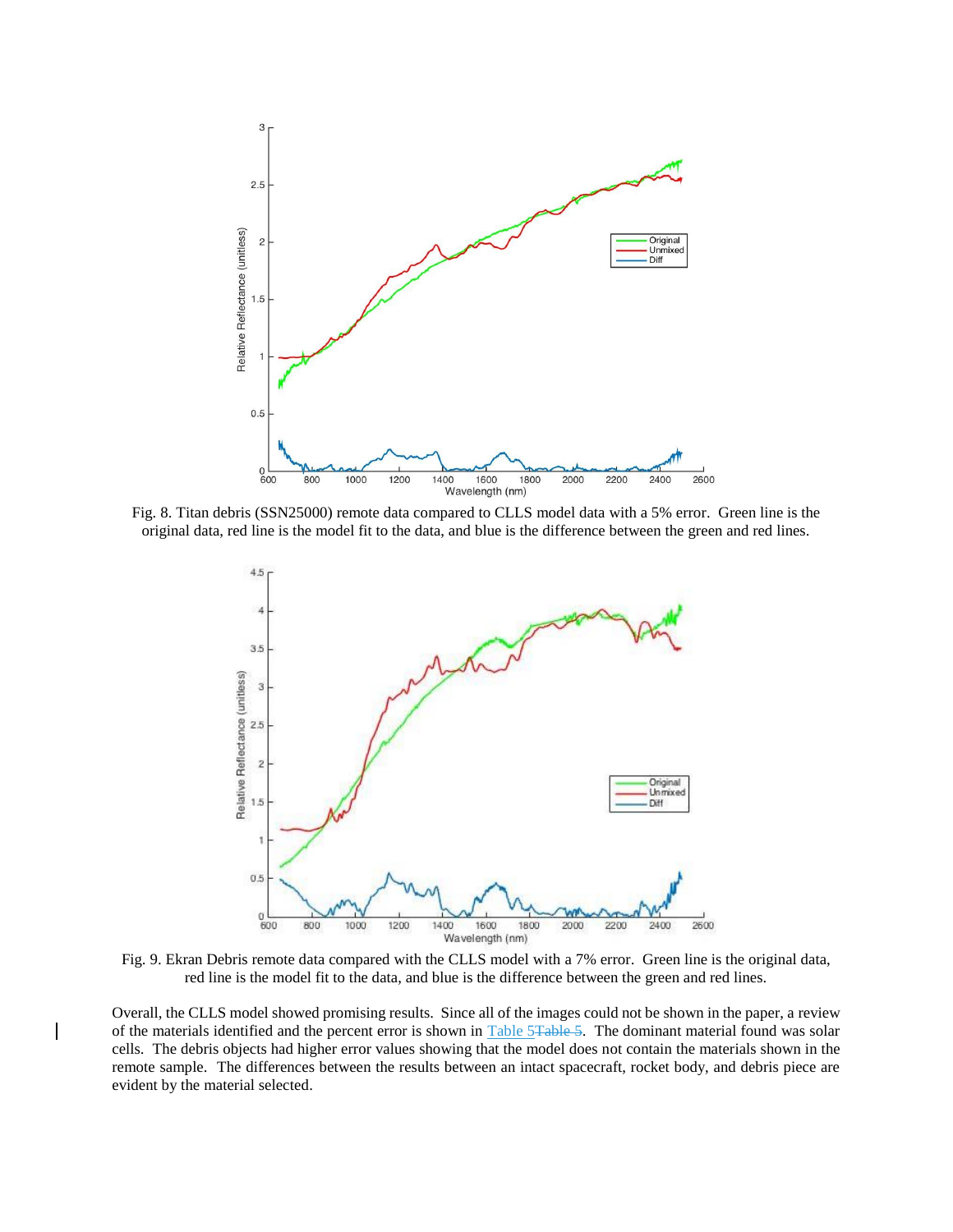

<span id="page-8-0"></span>Fig. 8. Titan debris (SSN25000) remote data compared to CLLS model data with a 5% error. Green line is the original data, red line is the model fit to the data, and blue is the difference between the green and red lines.



<span id="page-8-1"></span>Fig. 9. Ekran Debris remote data compared with the CLLS model with a 7% error. Green line is the original data, red line is the model fit to the data, and blue is the difference between the green and red lines.

Overall, the CLLS model showed promising results. Since all of the images could not be shown in the paper, a review of the materials identified and the percent error is shown in Table 5Table 5. The dominant material found was solar cells. The debris objects had higher error values showing that the model does not contain the materials shown in the remote sample. The differences between the results between an intact spacecraft, rocket body, and debris piece are evident by the material selected.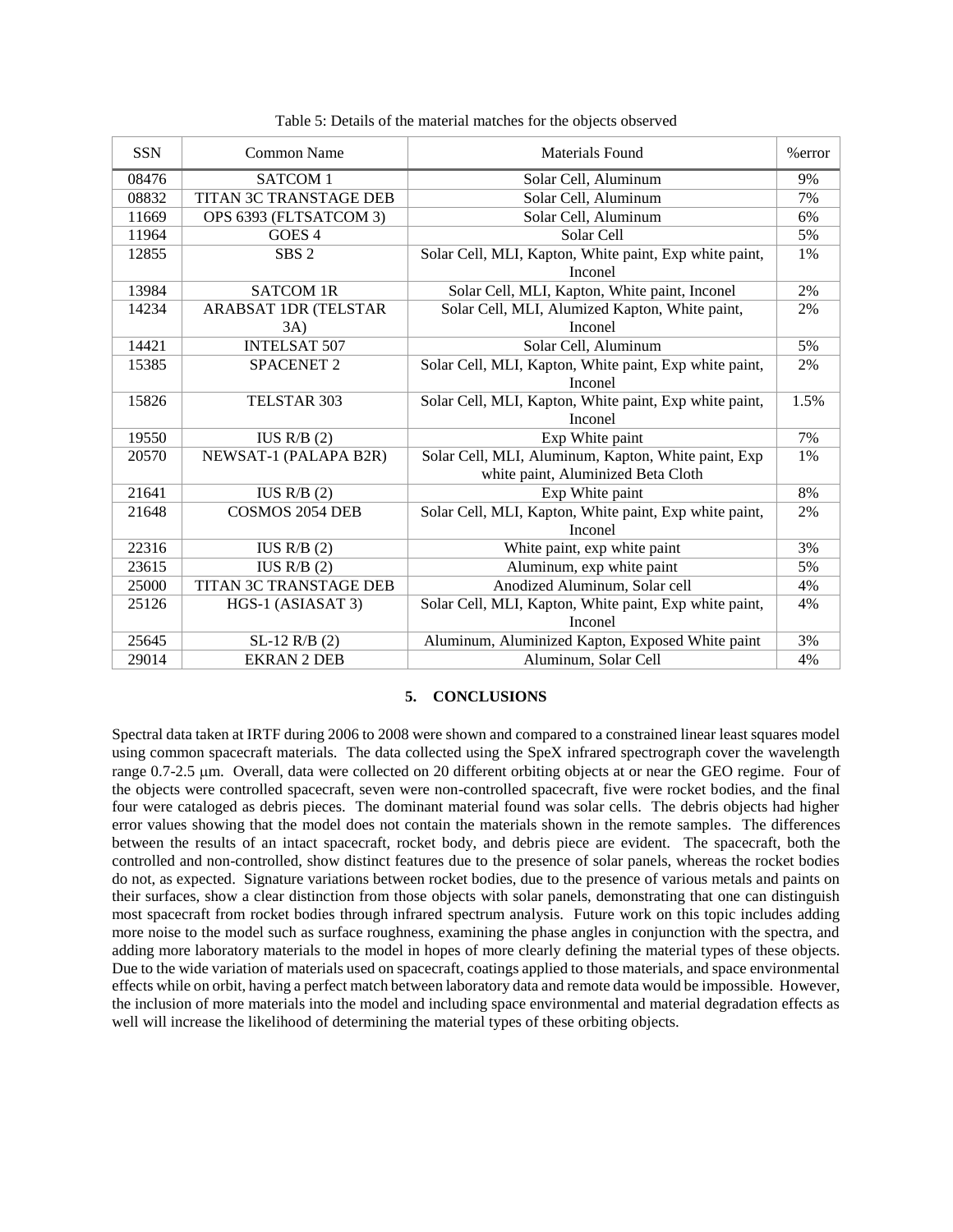| <b>SSN</b> | Common Name                   | <b>Materials Found</b>                                                                    |      |
|------------|-------------------------------|-------------------------------------------------------------------------------------------|------|
| 08476      | SATCOM 1                      | Solar Cell, Aluminum                                                                      | 9%   |
| 08832      | <b>TITAN 3C TRANSTAGE DEB</b> | Solar Cell, Aluminum                                                                      | 7%   |
| 11669      | OPS 6393 (FLTSATCOM 3)        | Solar Cell, Aluminum                                                                      | 6%   |
| 11964      | GOES <sub>4</sub>             | Solar Cell                                                                                | 5%   |
| 12855      | SBS <sub>2</sub>              | Solar Cell, MLI, Kapton, White paint, Exp white paint,<br>Inconel                         | 1%   |
| 13984      | <b>SATCOM 1R</b>              | Solar Cell, MLI, Kapton, White paint, Inconel                                             | 2%   |
| 14234      | ARABSAT 1DR (TELSTAR          | Solar Cell, MLI, Alumized Kapton, White paint,                                            | 2%   |
|            | 3A)                           | Inconel                                                                                   |      |
| 14421      | <b>INTELSAT 507</b>           | Solar Cell, Aluminum                                                                      | 5%   |
| 15385      | <b>SPACENET 2</b>             | Solar Cell, MLI, Kapton, White paint, Exp white paint,<br>Inconel                         | 2%   |
| 15826      | TELSTAR 303                   | Solar Cell, MLI, Kapton, White paint, Exp white paint,<br>Inconel                         | 1.5% |
| 19550      | IUS R/B $(2)$                 | Exp White paint                                                                           | 7%   |
| 20570      | NEWSAT-1 (PALAPA B2R)         | Solar Cell, MLI, Aluminum, Kapton, White paint, Exp<br>white paint, Aluminized Beta Cloth | 1%   |
| 21641      | IUS R/B $(2)$                 | Exp White paint                                                                           | 8%   |
| 21648      | <b>COSMOS 2054 DEB</b>        | Solar Cell, MLI, Kapton, White paint, Exp white paint,<br>Inconel                         | 2%   |
| 22316      | IUS R/B $(2)$                 | White paint, exp white paint                                                              | 3%   |
| 23615      | IUS R/B $(2)$                 | Aluminum, exp white paint                                                                 | 5%   |
| 25000      | <b>TITAN 3C TRANSTAGE DEB</b> | Anodized Aluminum, Solar cell                                                             | 4%   |
| 25126      | HGS-1 (ASIASAT 3)             | Solar Cell, MLI, Kapton, White paint, Exp white paint,<br>Inconel                         | 4%   |
| 25645      | $SL-12$ R/B $(2)$             | Aluminum, Aluminized Kapton, Exposed White paint                                          | 3%   |
| 29014      | <b>EKRAN 2 DEB</b>            | Aluminum, Solar Cell                                                                      | 4%   |

Table 5: Details of the material matches for the objects observed

## **5. CONCLUSIONS**

Spectral data taken at IRTF during 2006 to 2008 were shown and compared to a constrained linear least squares model using common spacecraft materials. The data collected using the SpeX infrared spectrograph cover the wavelength range 0.7-2.5 µm. Overall, data were collected on 20 different orbiting objects at or near the GEO regime. Four of the objects were controlled spacecraft, seven were non-controlled spacecraft, five were rocket bodies, and the final four were cataloged as debris pieces. The dominant material found was solar cells. The debris objects had higher error values showing that the model does not contain the materials shown in the remote samples. The differences between the results of an intact spacecraft, rocket body, and debris piece are evident. The spacecraft, both the controlled and non-controlled, show distinct features due to the presence of solar panels, whereas the rocket bodies do not, as expected. Signature variations between rocket bodies, due to the presence of various metals and paints on their surfaces, show a clear distinction from those objects with solar panels, demonstrating that one can distinguish most spacecraft from rocket bodies through infrared spectrum analysis. Future work on this topic includes adding more noise to the model such as surface roughness, examining the phase angles in conjunction with the spectra, and adding more laboratory materials to the model in hopes of more clearly defining the material types of these objects. Due to the wide variation of materials used on spacecraft, coatings applied to those materials, and space environmental effects while on orbit, having a perfect match between laboratory data and remote data would be impossible. However, the inclusion of more materials into the model and including space environmental and material degradation effects as well will increase the likelihood of determining the material types of these orbiting objects.